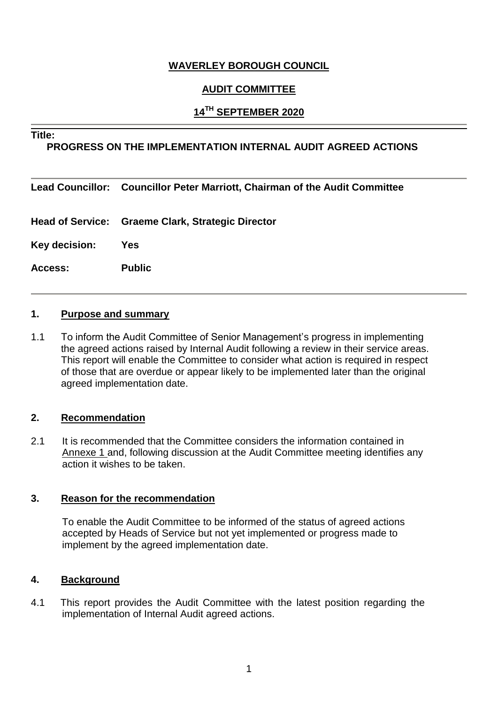## **WAVERLEY BOROUGH COUNCIL**

## **AUDIT COMMITTEE**

## **14TH SEPTEMBER 2020**

#### **Title:**

#### **PROGRESS ON THE IMPLEMENTATION INTERNAL AUDIT AGREED ACTIONS**

#### **Lead Councillor: Councillor Peter Marriott, Chairman of the Audit Committee**

- **Head of Service: Graeme Clark, Strategic Director**
- **Key decision: Yes**
- **Access: Public**

#### **1. Purpose and summary**

1.1 To inform the Audit Committee of Senior Management's progress in implementing the agreed actions raised by Internal Audit following a review in their service areas. This report will enable the Committee to consider what action is required in respect of those that are overdue or appear likely to be implemented later than the original agreed implementation date.

#### **2. Recommendation**

2.1 It is recommended that the Committee considers the information contained in Annexe 1 and, following discussion at the Audit Committee meeting identifies any action it wishes to be taken.

#### **3. Reason for the recommendation**

To enable the Audit Committee to be informed of the status of agreed actions accepted by Heads of Service but not yet implemented or progress made to implement by the agreed implementation date.

#### **4. Background**

4.1 This report provides the Audit Committee with the latest position regarding the implementation of Internal Audit agreed actions.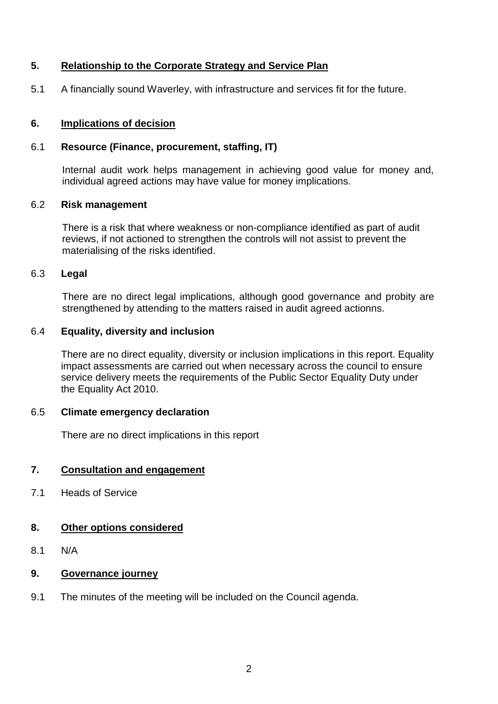## **5. Relationship to the Corporate Strategy and Service Plan**

5.1 A financially sound Waverley, with infrastructure and services fit for the future.

#### **6. Implications of decision**

#### 6.1 **Resource (Finance, procurement, staffing, IT)**

Internal audit work helps management in achieving good value for money and, individual agreed actions may have value for money implications.

#### 6.2 **Risk management**

There is a risk that where weakness or non-compliance identified as part of audit reviews, if not actioned to strengthen the controls will not assist to prevent the materialising of the risks identified.

#### 6.3 **Legal**

There are no direct legal implications, although good governance and probity are strengthened by attending to the matters raised in audit agreed actionns.

#### 6.4 **Equality, diversity and inclusion**

There are no direct equality, diversity or inclusion implications in this report. Equality impact assessments are carried out when necessary across the council to ensure service delivery meets the requirements of the Public Sector Equality Duty under the Equality Act 2010.

#### 6.5 **Climate emergency declaration**

There are no direct implications in this report

#### **7. Consultation and engagement**

7.1 Heads of Service

#### **8. Other options considered**

8.1 N/A

### **9. Governance journey**

9.1 The minutes of the meeting will be included on the Council agenda.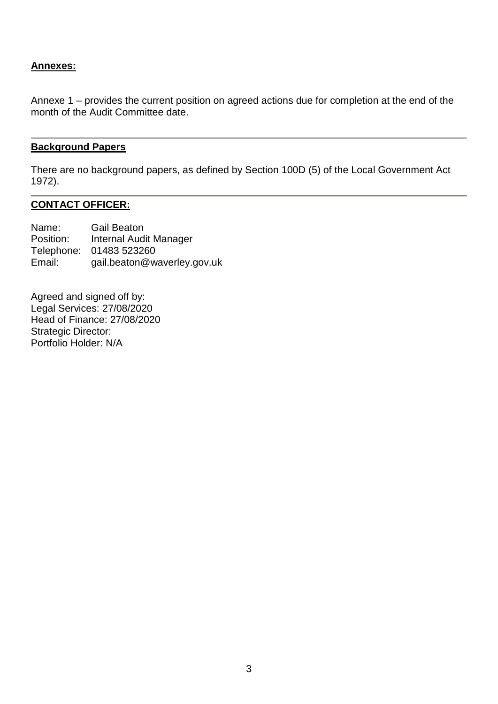## **Annexes:**

Annexe 1 – provides the current position on agreed actions due for completion at the end of the month of the Audit Committee date.

#### **Background Papers**

There are no background papers, as defined by Section 100D (5) of the Local Government Act 1972).

## **CONTACT OFFICER:**

Name: Gail Beaton Position: Internal Audit Manager Telephone: 01483 523260 Email: gail.beaton@waverley.gov.uk

Agreed and signed off by: Legal Services: 27/08/2020 Head of Finance: 27/08/2020 Strategic Director: Portfolio Holder: N/A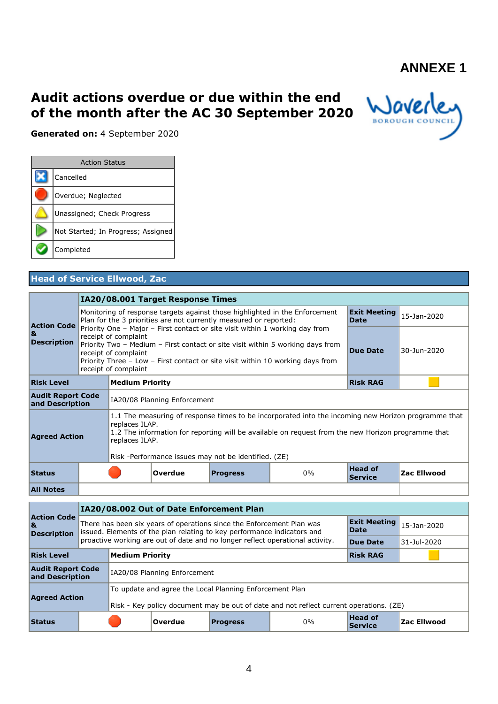# **ANNEXE 1**

# **Audit actions overdue or due within the end of the month after the AC 30 September 2020**



**Generated on:** 4 September 2020

| <b>Action Status</b>               |
|------------------------------------|
| Cancelled                          |
| Overdue; Neglected                 |
| Unassigned; Check Progress         |
| Not Started; In Progress; Assigned |
| Completed                          |

## **Head of Service Ellwood, Zac**

|                                             |                                                                                                                                                                 | IA20/08.001 Target Response Times                                                                                                                                                                                                                |                                                      |                                                                                                                                                                                                           |                     |             |
|---------------------------------------------|-----------------------------------------------------------------------------------------------------------------------------------------------------------------|--------------------------------------------------------------------------------------------------------------------------------------------------------------------------------------------------------------------------------------------------|------------------------------------------------------|-----------------------------------------------------------------------------------------------------------------------------------------------------------------------------------------------------------|---------------------|-------------|
| <b>Action Code</b>                          | Monitoring of response targets against those highlighted in the Enforcement<br>Plan for the 3 priorities are not currently measured or reported:<br><b>Date</b> |                                                                                                                                                                                                                                                  |                                                      |                                                                                                                                                                                                           | <b>Exit Meeting</b> | 15-Jan-2020 |
| 8L<br><b>Description</b>                    | receipt of complaint<br>receipt of complaint<br>receipt of complaint                                                                                            | Priority One - Major - First contact or site visit within 1 working day from<br>Priority Two - Medium - First contact or site visit within 5 working days from<br>Priority Three – Low – First contact or site visit within 10 working days from | <b>Due Date</b>                                      | 30-Jun-2020                                                                                                                                                                                               |                     |             |
| <b>Risk Level</b>                           | <b>Medium Priority</b>                                                                                                                                          |                                                                                                                                                                                                                                                  |                                                      |                                                                                                                                                                                                           | <b>Risk RAG</b>     |             |
| <b>Audit Report Code</b><br>and Description |                                                                                                                                                                 | IA20/08 Planning Enforcement                                                                                                                                                                                                                     |                                                      |                                                                                                                                                                                                           |                     |             |
| <b>Agreed Action</b>                        | replaces ILAP.<br>replaces ILAP.                                                                                                                                |                                                                                                                                                                                                                                                  | Risk -Performance issues may not be identified. (ZE) | 1.1 The measuring of response times to be incorporated into the incoming new Horizon programme that<br>1.2 The information for reporting will be available on request from the new Horizon programme that |                     |             |
| <b>Status</b>                               |                                                                                                                                                                 | <b>Overdue</b>                                                                                                                                                                                                                                   | <b>Head of</b><br><b>Service</b>                     | Zac Ellwood                                                                                                                                                                                               |                     |             |
| <b>All Notes</b>                            |                                                                                                                                                                 |                                                                                                                                                                                                                                                  |                                                      |                                                                                                                                                                                                           |                     |             |

|                                                                                        |  | IA20/08.002 Out of Date Enforcement Plan                                                                                                                                        |                                                                               |                 |                    |                 |  |  |  |  |
|----------------------------------------------------------------------------------------|--|---------------------------------------------------------------------------------------------------------------------------------------------------------------------------------|-------------------------------------------------------------------------------|-----------------|--------------------|-----------------|--|--|--|--|
| <b>Action Code</b><br>l&<br><b>Description</b>                                         |  | <b>Exit Meeting</b><br>There has been six years of operations since the Enforcement Plan was<br>Date<br>issued. Elements of the plan relating to key performance indicators and |                                                                               |                 | $15-1an-2020$      |                 |  |  |  |  |
|                                                                                        |  |                                                                                                                                                                                 | proactive working are out of date and no longer reflect operational activity. | <b>Due Date</b> | 31-Jul-2020        |                 |  |  |  |  |
| <b>Risk Level</b><br><b>Medium Priority</b>                                            |  |                                                                                                                                                                                 |                                                                               |                 |                    | <b>Risk RAG</b> |  |  |  |  |
| <b>Audit Report Code</b><br>and Description                                            |  |                                                                                                                                                                                 | IA20/08 Planning Enforcement                                                  |                 |                    |                 |  |  |  |  |
|                                                                                        |  | To update and agree the Local Planning Enforcement Plan                                                                                                                         |                                                                               |                 |                    |                 |  |  |  |  |
| <b>Agreed Action</b>                                                                   |  | Risk - Key policy document may be out of date and not reflect current operations. (ZE)                                                                                          |                                                                               |                 |                    |                 |  |  |  |  |
| <b>Head of</b><br>0%<br> Overdue<br><b>Status</b><br><b>Progress</b><br><b>Service</b> |  |                                                                                                                                                                                 |                                                                               |                 | <b>Zac Ellwood</b> |                 |  |  |  |  |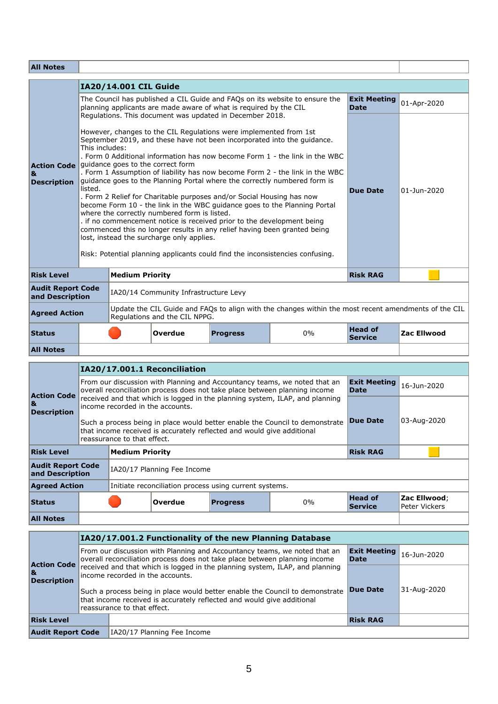## **All Notes**

| <b>All Notes</b>                                                          |                           |                        |                                                                                                                                                                                                                                                                                                     |                                                                                                                                                                                                                                                                                                                                                                                                                                                                                                                                                                                                                                         |                                                                                                      |                                    |                    |
|---------------------------------------------------------------------------|---------------------------|------------------------|-----------------------------------------------------------------------------------------------------------------------------------------------------------------------------------------------------------------------------------------------------------------------------------------------------|-----------------------------------------------------------------------------------------------------------------------------------------------------------------------------------------------------------------------------------------------------------------------------------------------------------------------------------------------------------------------------------------------------------------------------------------------------------------------------------------------------------------------------------------------------------------------------------------------------------------------------------------|------------------------------------------------------------------------------------------------------|------------------------------------|--------------------|
|                                                                           |                           | IA20/14.001 CIL Guide  |                                                                                                                                                                                                                                                                                                     |                                                                                                                                                                                                                                                                                                                                                                                                                                                                                                                                                                                                                                         |                                                                                                      |                                    |                    |
|                                                                           |                           |                        |                                                                                                                                                                                                                                                                                                     | planning applicants are made aware of what is required by the CIL                                                                                                                                                                                                                                                                                                                                                                                                                                                                                                                                                                       | The Council has published a CIL Guide and FAQs on its website to ensure the                          | <b>Exit Meeting</b><br><b>Date</b> | 01-Apr-2020        |
| Action Code guidance goes to the correct form<br>8.<br><b>Description</b> | This includes:<br>listed. |                        | Regulations. This document was updated in December 2018.<br>However, changes to the CIL Regulations were implemented from 1st<br>. Form 2 Relief for Charitable purposes and/or Social Housing has now<br>where the correctly numbered form is listed.<br>lost, instead the surcharge only applies. | September 2019, and these have not been incorporated into the quidance.<br>. Form 0 Additional information has now become Form 1 - the link in the WBC<br>. Form 1 Assumption of liability has now become Form 2 - the link in the WBC<br>quidance goes to the Planning Portal where the correctly numbered form is<br>become Form 10 - the link in the WBC quidance goes to the Planning Portal<br>. if no commencement notice is received prior to the development being<br>commenced this no longer results in any relief having been granted being<br>Risk: Potential planning applicants could find the inconsistencies confusing. | <b>Due Date</b>                                                                                      | 01-Jun-2020                        |                    |
| <b>Risk Level</b>                                                         |                           | <b>Medium Priority</b> |                                                                                                                                                                                                                                                                                                     |                                                                                                                                                                                                                                                                                                                                                                                                                                                                                                                                                                                                                                         |                                                                                                      | <b>Risk RAG</b>                    |                    |
| <b>Audit Report Code</b><br>and Description                               |                           |                        | IA20/14 Community Infrastructure Levy                                                                                                                                                                                                                                                               |                                                                                                                                                                                                                                                                                                                                                                                                                                                                                                                                                                                                                                         |                                                                                                      |                                    |                    |
| <b>Agreed Action</b>                                                      |                           |                        | Regulations and the CIL NPPG.                                                                                                                                                                                                                                                                       |                                                                                                                                                                                                                                                                                                                                                                                                                                                                                                                                                                                                                                         | Update the CIL Guide and FAQs to align with the changes within the most recent amendments of the CIL |                                    |                    |
| <b>Status</b>                                                             |                           |                        | Overdue                                                                                                                                                                                                                                                                                             | <b>Progress</b>                                                                                                                                                                                                                                                                                                                                                                                                                                                                                                                                                                                                                         | 0%                                                                                                   | <b>Head of</b><br><b>Service</b>   | <b>Zac Ellwood</b> |
| <b>All Notes</b>                                                          |                           |                        |                                                                                                                                                                                                                                                                                                     |                                                                                                                                                                                                                                                                                                                                                                                                                                                                                                                                                                                                                                         |                                                                                                      |                                    |                    |

Ī

|                                             |                                            | IA20/17.001.1 Reconciliation                                                                                                                           |                                                        |                                                                                                                                                         |                               |             |
|---------------------------------------------|--------------------------------------------|--------------------------------------------------------------------------------------------------------------------------------------------------------|--------------------------------------------------------|---------------------------------------------------------------------------------------------------------------------------------------------------------|-------------------------------|-------------|
| <b>Action Code</b>                          |                                            |                                                                                                                                                        |                                                        | From our discussion with Planning and Accountancy teams, we noted that an<br>overall reconciliation process does not take place between planning income | <b>Exit Meeting</b><br>Date   | 16-Jun-2020 |
| 8I<br><b>Description</b>                    | income recorded in the accounts.           | received and that which is logged in the planning system, ILAP, and planning                                                                           |                                                        |                                                                                                                                                         |                               |             |
|                                             | reassurance to that effect.                | Such a process being in place would better enable the Council to demonstrate<br>that income received is accurately reflected and would give additional | <b>Due Date</b>                                        | 03-Aug-2020                                                                                                                                             |                               |             |
| <b>Risk Level</b>                           | <b>Medium Priority</b>                     |                                                                                                                                                        |                                                        |                                                                                                                                                         | <b>Risk RAG</b>               |             |
| <b>Audit Report Code</b><br>and Description |                                            | IA20/17 Planning Fee Income                                                                                                                            |                                                        |                                                                                                                                                         |                               |             |
| <b>Agreed Action</b>                        |                                            |                                                                                                                                                        | Initiate reconciliation process using current systems. |                                                                                                                                                         |                               |             |
| <b>Status</b>                               | <b>Overdue</b><br>$0\%$<br><b>Progress</b> |                                                                                                                                                        |                                                        | <b>Head of</b><br><b>Service</b>                                                                                                                        | Zac Ellwood;<br>Peter Vickers |             |
| <b>All Notes</b>                            |                                            |                                                                                                                                                        |                                                        |                                                                                                                                                         |                               |             |

|                                                 |  | IA20/17.001.2 Functionality of the new Planning Database                                                                                                                              |                                         |             |  |  |  |  |  |  |
|-------------------------------------------------|--|---------------------------------------------------------------------------------------------------------------------------------------------------------------------------------------|-----------------------------------------|-------------|--|--|--|--|--|--|
| <b>Action Code</b><br>18.<br><b>Description</b> |  | From our discussion with Planning and Accountancy teams, we noted that an<br>overall reconciliation process does not take place between planning income                               | <b>Exit Meeting</b> 16-Jun-2020<br>Date |             |  |  |  |  |  |  |
|                                                 |  | received and that which is logged in the planning system, ILAP, and planning<br>income recorded in the accounts.                                                                      |                                         |             |  |  |  |  |  |  |
|                                                 |  | Such a process being in place would better enable the Council to demonstrate<br>that income received is accurately reflected and would give additional<br>reassurance to that effect. | Due Date                                | 31-Aug-2020 |  |  |  |  |  |  |
| <b>Risk Level</b>                               |  |                                                                                                                                                                                       | <b>Risk RAG</b>                         |             |  |  |  |  |  |  |
| <b>Audit Report Code</b>                        |  | IA20/17 Planning Fee Income                                                                                                                                                           |                                         |             |  |  |  |  |  |  |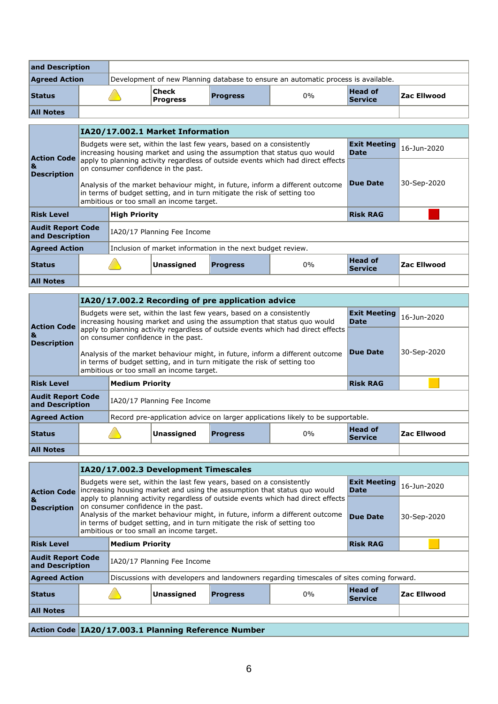| and Description      |                                                                                   |  |                           |                 |    |                                  |             |
|----------------------|-----------------------------------------------------------------------------------|--|---------------------------|-----------------|----|----------------------------------|-------------|
| <b>Agreed Action</b> | Development of new Planning database to ensure an automatic process is available. |  |                           |                 |    |                                  |             |
| <b>Status</b>        |                                                                                   |  | Check <br><b>Progress</b> | <b>Progress</b> | 0% | <b>Head of</b><br><b>Service</b> | Zac Ellwood |
| <b>All Notes</b>     |                                                                                   |  |                           |                 |    |                                  |             |

|                                             |                                               | IA20/17.002.1 Market Information                                                                                                                                                                      |                                                                      |                                                                          |                             |                    |
|---------------------------------------------|-----------------------------------------------|-------------------------------------------------------------------------------------------------------------------------------------------------------------------------------------------------------|----------------------------------------------------------------------|--------------------------------------------------------------------------|-----------------------------|--------------------|
| <b>Action Code</b>                          |                                               |                                                                                                                                                                                                       | Budgets were set, within the last few years, based on a consistently | increasing housing market and using the assumption that status quo would | <b>Exit Meeting</b><br>Date | $16-1$ un-2020     |
| 8L<br><b>Description</b>                    |                                               | apply to planning activity regardless of outside events which had direct effects<br>on consumer confidence in the past.                                                                               |                                                                      |                                                                          |                             |                    |
|                                             |                                               | Analysis of the market behaviour might, in future, inform a different outcome<br>in terms of budget setting, and in turn mitigate the risk of setting too<br>ambitious or too small an income target. | <b>Due Date</b>                                                      | 30-Sep-2020                                                              |                             |                    |
| <b>Risk Level</b>                           | <b>High Priority</b>                          |                                                                                                                                                                                                       |                                                                      |                                                                          | <b>Risk RAG</b>             |                    |
| <b>Audit Report Code</b><br>and Description |                                               | IA20/17 Planning Fee Income                                                                                                                                                                           |                                                                      |                                                                          |                             |                    |
| <b>Agreed Action</b>                        |                                               |                                                                                                                                                                                                       | Inclusion of market information in the next budget review.           |                                                                          |                             |                    |
| <b>Status</b>                               | <b>Unassigned</b><br>$0\%$<br><b>Progress</b> |                                                                                                                                                                                                       |                                                                      |                                                                          |                             | <b>Zac Ellwood</b> |
| <b>All Notes</b>                            |                                               |                                                                                                                                                                                                       |                                                                      |                                                                          |                             |                    |

|                                             |                                               | IA20/17.002.2 Recording of pre application advice |                                                                                                                                                                                                       |                                                                      |                                                                                |                             |             |  |  |  |  |
|---------------------------------------------|-----------------------------------------------|---------------------------------------------------|-------------------------------------------------------------------------------------------------------------------------------------------------------------------------------------------------------|----------------------------------------------------------------------|--------------------------------------------------------------------------------|-----------------------------|-------------|--|--|--|--|
| <b>Action Code</b>                          |                                               |                                                   |                                                                                                                                                                                                       | Budgets were set, within the last few years, based on a consistently | increasing housing market and using the assumption that status guo would       | <b>Exit Meeting</b><br>Date | 16-1un-2020 |  |  |  |  |
| ।&<br><b>Description</b>                    |                                               |                                                   | apply to planning activity regardless of outside events which had direct effects<br>on consumer confidence in the past.                                                                               |                                                                      |                                                                                |                             |             |  |  |  |  |
|                                             |                                               |                                                   | Analysis of the market behaviour might, in future, inform a different outcome<br>in terms of budget setting, and in turn mitigate the risk of setting too<br>ambitious or too small an income target. | <b>Due Date</b>                                                      | 30-Sep-2020                                                                    |                             |             |  |  |  |  |
| <b>Risk Level</b>                           |                                               | <b>Medium Priority</b>                            |                                                                                                                                                                                                       |                                                                      |                                                                                | <b>Risk RAG</b>             |             |  |  |  |  |
| <b>Audit Report Code</b><br>and Description |                                               |                                                   | IA20/17 Planning Fee Income                                                                                                                                                                           |                                                                      |                                                                                |                             |             |  |  |  |  |
| <b>Agreed Action</b>                        |                                               |                                                   |                                                                                                                                                                                                       |                                                                      | Record pre-application advice on larger applications likely to be supportable. |                             |             |  |  |  |  |
| <b>Status</b>                               | <b>Unassigned</b><br>$0\%$<br><b>Progress</b> |                                                   |                                                                                                                                                                                                       |                                                                      | <b>Head of</b><br><b>Service</b>                                               | <b>Zac Ellwood</b>          |             |  |  |  |  |
| <b>All Notes</b>                            |                                               |                                                   |                                                                                                                                                                                                       |                                                                      |                                                                                |                             |             |  |  |  |  |

|                                             |                        |  |                                                                                                                                                                                                                                                                                                                                  | IA20/17.002.3 Development Timescales                                 |                                                                                          |                                  |                    |  |  |  |  |  |  |
|---------------------------------------------|------------------------|--|----------------------------------------------------------------------------------------------------------------------------------------------------------------------------------------------------------------------------------------------------------------------------------------------------------------------------------|----------------------------------------------------------------------|------------------------------------------------------------------------------------------|----------------------------------|--------------------|--|--|--|--|--|--|
| <b>Action Code</b>                          |                        |  |                                                                                                                                                                                                                                                                                                                                  | Budgets were set, within the last few years, based on a consistently | increasing housing market and using the assumption that status guo would                 | <b>Exit Meeting</b><br>Date      | 16-Jun-2020        |  |  |  |  |  |  |
| 8L<br><b>Description</b>                    |                        |  | apply to planning activity regardless of outside events which had direct effects<br>on consumer confidence in the past.<br>Analysis of the market behaviour might, in future, inform a different outcome<br>in terms of budget setting, and in turn mitigate the risk of setting too<br>ambitious or too small an income target. | <b>Due Date</b>                                                      | 30-Sep-2020                                                                              |                                  |                    |  |  |  |  |  |  |
| <b>Risk Level</b>                           | <b>Medium Priority</b> |  |                                                                                                                                                                                                                                                                                                                                  |                                                                      |                                                                                          | <b>Risk RAG</b>                  |                    |  |  |  |  |  |  |
| <b>Audit Report Code</b><br>and Description |                        |  | IA20/17 Planning Fee Income                                                                                                                                                                                                                                                                                                      |                                                                      |                                                                                          |                                  |                    |  |  |  |  |  |  |
| <b>Agreed Action</b>                        |                        |  |                                                                                                                                                                                                                                                                                                                                  |                                                                      | Discussions with developers and landowners regarding timescales of sites coming forward. |                                  |                    |  |  |  |  |  |  |
| <b>Status</b>                               |                        |  | Unassigned                                                                                                                                                                                                                                                                                                                       | <b>Progress</b>                                                      | $0\%$                                                                                    | <b>Head of</b><br><b>Service</b> | <b>Zac Ellwood</b> |  |  |  |  |  |  |
| <b>All Notes</b>                            |                        |  |                                                                                                                                                                                                                                                                                                                                  |                                                                      |                                                                                          |                                  |                    |  |  |  |  |  |  |
|                                             |                        |  | Action Code   IA20/17.003.1 Planning Reference Number                                                                                                                                                                                                                                                                            |                                                                      |                                                                                          |                                  |                    |  |  |  |  |  |  |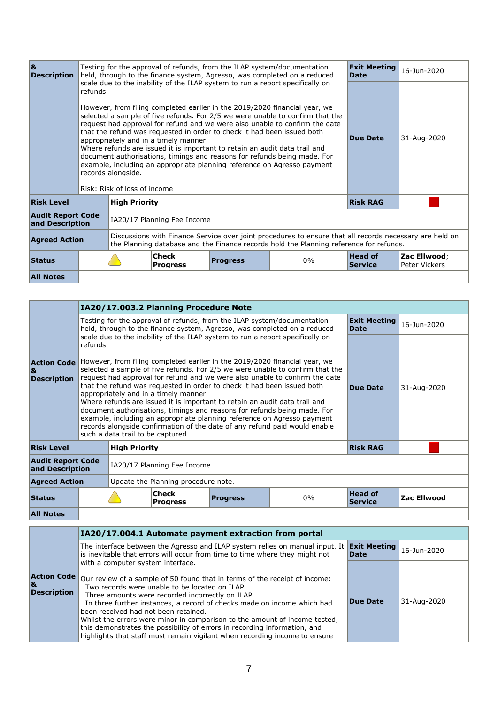| 8L<br><b>Description</b>                    |                                                                                                                                                                                                                           |                                                    |                                                                                                                                                                                                                                                                                                                                                                                                                                                                                                                                                                                                                                                                                      | Testing for the approval of refunds, from the ILAP system/documentation | held, through to the finance system, Agresso, was completed on a reduced | <b>Exit Meeting</b><br><b>Date</b> | 16-Jun-2020                   |
|---------------------------------------------|---------------------------------------------------------------------------------------------------------------------------------------------------------------------------------------------------------------------------|----------------------------------------------------|--------------------------------------------------------------------------------------------------------------------------------------------------------------------------------------------------------------------------------------------------------------------------------------------------------------------------------------------------------------------------------------------------------------------------------------------------------------------------------------------------------------------------------------------------------------------------------------------------------------------------------------------------------------------------------------|-------------------------------------------------------------------------|--------------------------------------------------------------------------|------------------------------------|-------------------------------|
|                                             | refunds.                                                                                                                                                                                                                  | records alongside.<br>Risk: Risk of loss of income | scale due to the inability of the ILAP system to run a report specifically on<br>However, from filing completed earlier in the 2019/2020 financial year, we<br>selected a sample of five refunds. For 2/5 we were unable to confirm that the<br>request had approval for refund and we were also unable to confirm the date<br>that the refund was requested in order to check it had been issued both<br>appropriately and in a timely manner.<br>Where refunds are issued it is important to retain an audit data trail and<br>document authorisations, timings and reasons for refunds being made. For<br>example, including an appropriate planning reference on Agresso payment | <b>Due Date</b>                                                         | 31-Aug-2020                                                              |                                    |                               |
| <b>Risk Level</b>                           |                                                                                                                                                                                                                           | <b>High Priority</b>                               |                                                                                                                                                                                                                                                                                                                                                                                                                                                                                                                                                                                                                                                                                      |                                                                         |                                                                          | <b>Risk RAG</b>                    |                               |
| <b>Audit Report Code</b><br>and Description |                                                                                                                                                                                                                           |                                                    | IA20/17 Planning Fee Income                                                                                                                                                                                                                                                                                                                                                                                                                                                                                                                                                                                                                                                          |                                                                         |                                                                          |                                    |                               |
|                                             | Discussions with Finance Service over joint procedures to ensure that all records necessary are held on<br><b>Agreed Action</b><br>the Planning database and the Finance records hold the Planning reference for refunds. |                                                    |                                                                                                                                                                                                                                                                                                                                                                                                                                                                                                                                                                                                                                                                                      |                                                                         |                                                                          |                                    |                               |
| <b>Status</b>                               |                                                                                                                                                                                                                           |                                                    | <b>Check</b><br><b>Progress</b>                                                                                                                                                                                                                                                                                                                                                                                                                                                                                                                                                                                                                                                      | <b>Progress</b>                                                         | $0\%$                                                                    | <b>Head of</b><br><b>Service</b>   | Zac Ellwood;<br>Peter Vickers |
| <b>All Notes</b>                            |                                                                                                                                                                                                                           |                                                    |                                                                                                                                                                                                                                                                                                                                                                                                                                                                                                                                                                                                                                                                                      |                                                                         |                                                                          |                                    |                               |

|                                             |          |                                                      | IA20/17.003.2 Planning Procedure Note                                                                                                                                                          |                                                                                                                                                                                                                                                                                                                                                                                                                                                                                             |                                                                          |                                    |                    |
|---------------------------------------------|----------|------------------------------------------------------|------------------------------------------------------------------------------------------------------------------------------------------------------------------------------------------------|---------------------------------------------------------------------------------------------------------------------------------------------------------------------------------------------------------------------------------------------------------------------------------------------------------------------------------------------------------------------------------------------------------------------------------------------------------------------------------------------|--------------------------------------------------------------------------|------------------------------------|--------------------|
|                                             |          |                                                      |                                                                                                                                                                                                | Testing for the approval of refunds, from the ILAP system/documentation                                                                                                                                                                                                                                                                                                                                                                                                                     | held, through to the finance system, Agresso, was completed on a reduced | <b>Exit Meeting</b><br><b>Date</b> | 16-Jun-2020        |
|                                             | refunds. |                                                      | scale due to the inability of the ILAP system to run a report specifically on                                                                                                                  |                                                                                                                                                                                                                                                                                                                                                                                                                                                                                             |                                                                          |                                    |                    |
| 8I<br><b>Description</b>                    |          | such a data trail to be captured.                    | that the refund was requested in order to check it had been issued both<br>appropriately and in a timely manner.<br>Where refunds are issued it is important to retain an audit data trail and | Action Code However, from filing completed earlier in the 2019/2020 financial year, we<br>selected a sample of five refunds. For 2/5 we were unable to confirm that the<br>request had approval for refund and we were also unable to confirm the date<br>document authorisations, timings and reasons for refunds being made. For<br>example, including an appropriate planning reference on Agresso payment<br>records alongside confirmation of the date of any refund paid would enable | <b>Due Date</b>                                                          | 31-Aug-2020                        |                    |
| <b>Risk Level</b>                           |          | <b>High Priority</b>                                 |                                                                                                                                                                                                |                                                                                                                                                                                                                                                                                                                                                                                                                                                                                             |                                                                          | <b>Risk RAG</b>                    |                    |
| <b>Audit Report Code</b><br>and Description |          |                                                      | IA20/17 Planning Fee Income                                                                                                                                                                    |                                                                                                                                                                                                                                                                                                                                                                                                                                                                                             |                                                                          |                                    |                    |
| <b>Agreed Action</b>                        |          |                                                      | Update the Planning procedure note.                                                                                                                                                            |                                                                                                                                                                                                                                                                                                                                                                                                                                                                                             |                                                                          |                                    |                    |
| <b>Status</b>                               |          | Check<br>$0\%$<br><b>Progress</b><br><b>Progress</b> |                                                                                                                                                                                                |                                                                                                                                                                                                                                                                                                                                                                                                                                                                                             |                                                                          |                                    | <b>Zac Ellwood</b> |
| <b>All Notes</b>                            |          |                                                      |                                                                                                                                                                                                |                                                                                                                                                                                                                                                                                                                                                                                                                                                                                             |                                                                          |                                    |                    |

|  |                                                | IA20/17.004.1 Automate payment extraction from portal                                                                                                                                                                                                                                                                                                                                                                                                                                                                                                                                  |                                    |             |  |  |  |  |  |
|--|------------------------------------------------|----------------------------------------------------------------------------------------------------------------------------------------------------------------------------------------------------------------------------------------------------------------------------------------------------------------------------------------------------------------------------------------------------------------------------------------------------------------------------------------------------------------------------------------------------------------------------------------|------------------------------------|-------------|--|--|--|--|--|
|  |                                                | The interface between the Agresso and ILAP system relies on manual input. It<br>is inevitable that errors will occur from time to time where they might not                                                                                                                                                                                                                                                                                                                                                                                                                            | <b>Exit Meeting</b><br><b>Date</b> | 16-Jun-2020 |  |  |  |  |  |
|  | <b>Action Code</b><br>1&<br><b>Description</b> | with a computer system interface.<br>Our review of a sample of 50 found that in terms of the receipt of income:<br>. Two records were unable to be located on ILAP.<br>. Three amounts were recorded incorrectly on ILAP<br>. In three further instances, a record of checks made on income which had<br>been received had not been retained.<br>Whilst the errors were minor in comparison to the amount of income tested,<br>this demonstrates the possibility of errors in recording information, and<br>highlights that staff must remain vigilant when recording income to ensure | <b>Due Date</b>                    | 31-Aug-2020 |  |  |  |  |  |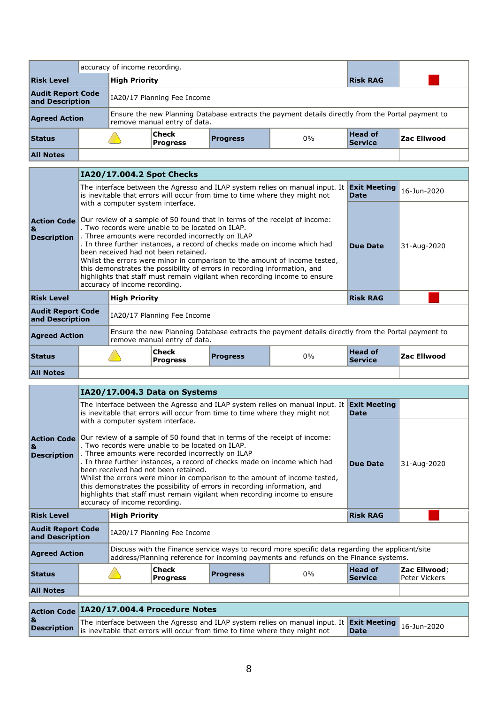|                                                                            | accuracy of income recording. |                      |                                                                                                                                   |                 |       |                           |             |
|----------------------------------------------------------------------------|-------------------------------|----------------------|-----------------------------------------------------------------------------------------------------------------------------------|-----------------|-------|---------------------------|-------------|
| <b>Risk Level</b>                                                          |                               | <b>High Priority</b> |                                                                                                                                   | <b>Risk RAG</b> |       |                           |             |
| <b>Audit Report Code</b><br>IA20/17 Planning Fee Income<br>and Description |                               |                      |                                                                                                                                   |                 |       |                           |             |
| <b>Agreed Action</b>                                                       |                               |                      | Ensure the new Planning Database extracts the payment details directly from the Portal payment to<br>remove manual entry of data. |                 |       |                           |             |
| <b>Status</b>                                                              |                               |                      | Check<br><b>Progress</b>                                                                                                          | <b>Progress</b> | $0\%$ | Head of<br><b>Service</b> | Zac Ellwood |
| <b>All Notes</b>                                                           |                               |                      |                                                                                                                                   |                 |       |                           |             |

|                                                |                                                                                                                                                                                                   |                               | IA20/17.004.2 Spot Checks                                                                                                                                                                                                                                                                                                                                                                                                                                                                                                                                                              |                                                                                                   |             |                                  |                    |  |
|------------------------------------------------|---------------------------------------------------------------------------------------------------------------------------------------------------------------------------------------------------|-------------------------------|----------------------------------------------------------------------------------------------------------------------------------------------------------------------------------------------------------------------------------------------------------------------------------------------------------------------------------------------------------------------------------------------------------------------------------------------------------------------------------------------------------------------------------------------------------------------------------------|---------------------------------------------------------------------------------------------------|-------------|----------------------------------|--------------------|--|
|                                                | <b>Exit Meeting</b><br>The interface between the Agresso and ILAP system relies on manual input. It<br>is inevitable that errors will occur from time to time where they might not<br><b>Date</b> |                               |                                                                                                                                                                                                                                                                                                                                                                                                                                                                                                                                                                                        |                                                                                                   |             |                                  | 16-Jun-2020        |  |
| <b>Action Code</b><br>8I<br><b>Description</b> |                                                                                                                                                                                                   | accuracy of income recording. | with a computer system interface.<br>Our review of a sample of 50 found that in terms of the receipt of income:<br>. Two records were unable to be located on ILAP.<br>. Three amounts were recorded incorrectly on ILAP<br>. In three further instances, a record of checks made on income which had<br>been received had not been retained.<br>Whilst the errors were minor in comparison to the amount of income tested,<br>this demonstrates the possibility of errors in recording information, and<br>highlights that staff must remain vigilant when recording income to ensure | Due Date                                                                                          | 31-Aug-2020 |                                  |                    |  |
| <b>Risk Level</b>                              |                                                                                                                                                                                                   | <b>High Priority</b>          |                                                                                                                                                                                                                                                                                                                                                                                                                                                                                                                                                                                        |                                                                                                   |             | <b>Risk RAG</b>                  |                    |  |
| <b>Audit Report Code</b><br>and Description    |                                                                                                                                                                                                   |                               | IA20/17 Planning Fee Income                                                                                                                                                                                                                                                                                                                                                                                                                                                                                                                                                            |                                                                                                   |             |                                  |                    |  |
| <b>Agreed Action</b>                           |                                                                                                                                                                                                   |                               | remove manual entry of data.                                                                                                                                                                                                                                                                                                                                                                                                                                                                                                                                                           | Ensure the new Planning Database extracts the payment details directly from the Portal payment to |             |                                  |                    |  |
| <b>Status</b>                                  |                                                                                                                                                                                                   |                               | Check<br><b>Progress</b>                                                                                                                                                                                                                                                                                                                                                                                                                                                                                                                                                               | <b>Progress</b>                                                                                   | 0%          | <b>Head of</b><br><b>Service</b> | <b>Zac Ellwood</b> |  |
| <b>All Notes</b>                               |                                                                                                                                                                                                   |                               |                                                                                                                                                                                                                                                                                                                                                                                                                                                                                                                                                                                        |                                                                                                   |             |                                  |                    |  |

|                                               | IA20/17.004.3 Data on Systems                                                                                                                               |                                                                                                                                                                                                                                                                                                                                                                                                                                                                                                                                                                                                                         |                                           |                 |                                                                                                                                                             |                                    |                               |  |  |  |
|-----------------------------------------------|-------------------------------------------------------------------------------------------------------------------------------------------------------------|-------------------------------------------------------------------------------------------------------------------------------------------------------------------------------------------------------------------------------------------------------------------------------------------------------------------------------------------------------------------------------------------------------------------------------------------------------------------------------------------------------------------------------------------------------------------------------------------------------------------------|-------------------------------------------|-----------------|-------------------------------------------------------------------------------------------------------------------------------------------------------------|------------------------------------|-------------------------------|--|--|--|
|                                               |                                                                                                                                                             |                                                                                                                                                                                                                                                                                                                                                                                                                                                                                                                                                                                                                         |                                           |                 | The interface between the Agresso and ILAP system relies on manual input. It<br>is inevitable that errors will occur from time to time where they might not | <b>Exit Meeting</b><br><b>Date</b> |                               |  |  |  |
| <b>Action Code</b><br>8<br><b>Description</b> |                                                                                                                                                             | with a computer system interface.<br>Our review of a sample of 50 found that in terms of the receipt of income:<br>. Two records were unable to be located on ILAP.<br>. Three amounts were recorded incorrectly on ILAP<br>. In three further instances, a record of checks made on income which had<br>been received had not been retained.<br>Whilst the errors were minor in comparison to the amount of income tested,<br>this demonstrates the possibility of errors in recording information, and<br>highlights that staff must remain vigilant when recording income to ensure<br>accuracy of income recording. | <b>Due Date</b>                           | 31-Aug-2020     |                                                                                                                                                             |                                    |                               |  |  |  |
| <b>Risk Level</b>                             |                                                                                                                                                             | <b>High Priority</b>                                                                                                                                                                                                                                                                                                                                                                                                                                                                                                                                                                                                    |                                           | <b>Risk RAG</b> |                                                                                                                                                             |                                    |                               |  |  |  |
| <b>Audit Report Code</b><br>and Description   |                                                                                                                                                             | IA20/17 Planning Fee Income                                                                                                                                                                                                                                                                                                                                                                                                                                                                                                                                                                                             |                                           |                 |                                                                                                                                                             |                                    |                               |  |  |  |
| <b>Agreed Action</b>                          |                                                                                                                                                             | Discuss with the Finance service ways to record more specific data regarding the applicant/site<br>address/Planning reference for incoming payments and refunds on the Finance systems.                                                                                                                                                                                                                                                                                                                                                                                                                                 |                                           |                 |                                                                                                                                                             |                                    |                               |  |  |  |
| <b>Status</b>                                 |                                                                                                                                                             |                                                                                                                                                                                                                                                                                                                                                                                                                                                                                                                                                                                                                         | <b>Check</b><br><b>Progress</b>           | <b>Progress</b> | $0\%$                                                                                                                                                       | <b>Head of</b><br><b>Service</b>   | Zac Ellwood;<br>Peter Vickers |  |  |  |
| <b>All Notes</b>                              |                                                                                                                                                             |                                                                                                                                                                                                                                                                                                                                                                                                                                                                                                                                                                                                                         |                                           |                 |                                                                                                                                                             |                                    |                               |  |  |  |
|                                               |                                                                                                                                                             |                                                                                                                                                                                                                                                                                                                                                                                                                                                                                                                                                                                                                         |                                           |                 |                                                                                                                                                             |                                    |                               |  |  |  |
|                                               |                                                                                                                                                             |                                                                                                                                                                                                                                                                                                                                                                                                                                                                                                                                                                                                                         | Action Code IA20/17.004.4 Procedure Notes |                 |                                                                                                                                                             | <b>Exit Meeting</b>                |                               |  |  |  |
| 1&<br><b>Description</b>                      | The interface between the Agresso and ILAP system relies on manual input. It<br>is inevitable that errors will occur from time to time where they might not | 16-Jun-2020                                                                                                                                                                                                                                                                                                                                                                                                                                                                                                                                                                                                             |                                           |                 |                                                                                                                                                             |                                    |                               |  |  |  |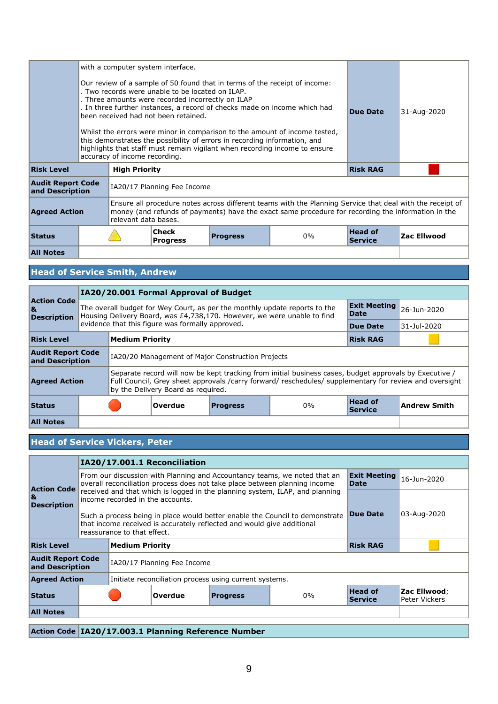| with a computer system interface.           |  |                                                                                                                                                                                                                                         |                                                                                                                                                                                                                                                                                                                                                                                                                                                                                                                                                   |                 |             |                                  |                    |
|---------------------------------------------|--|-----------------------------------------------------------------------------------------------------------------------------------------------------------------------------------------------------------------------------------------|---------------------------------------------------------------------------------------------------------------------------------------------------------------------------------------------------------------------------------------------------------------------------------------------------------------------------------------------------------------------------------------------------------------------------------------------------------------------------------------------------------------------------------------------------|-----------------|-------------|----------------------------------|--------------------|
|                                             |  | accuracy of income recording.                                                                                                                                                                                                           | Our review of a sample of 50 found that in terms of the receipt of income:<br>. Two records were unable to be located on ILAP.<br>. Three amounts were recorded incorrectly on ILAP<br>. In three further instances, a record of checks made on income which had<br>been received had not been retained.<br>Whilst the errors were minor in comparison to the amount of income tested,<br>this demonstrates the possibility of errors in recording information, and<br>highlights that staff must remain vigilant when recording income to ensure | <b>Due Date</b> | 31-Aug-2020 |                                  |                    |
| <b>Risk Level</b>                           |  | <b>High Priority</b>                                                                                                                                                                                                                    |                                                                                                                                                                                                                                                                                                                                                                                                                                                                                                                                                   | <b>Risk RAG</b> |             |                                  |                    |
| <b>Audit Report Code</b><br>and Description |  | IA20/17 Planning Fee Income                                                                                                                                                                                                             |                                                                                                                                                                                                                                                                                                                                                                                                                                                                                                                                                   |                 |             |                                  |                    |
| <b>Agreed Action</b>                        |  | Ensure all procedure notes across different teams with the Planning Service that deal with the receipt of<br>money (and refunds of payments) have the exact same procedure for recording the information in the<br>relevant data bases. |                                                                                                                                                                                                                                                                                                                                                                                                                                                                                                                                                   |                 |             |                                  |                    |
| <b>Status</b>                               |  |                                                                                                                                                                                                                                         | <b>Check</b><br><b>Progress</b>                                                                                                                                                                                                                                                                                                                                                                                                                                                                                                                   | <b>Progress</b> | $0\%$       | <b>Head of</b><br><b>Service</b> | <b>Zac Ellwood</b> |
| <b>All Notes</b>                            |  |                                                                                                                                                                                                                                         |                                                                                                                                                                                                                                                                                                                                                                                                                                                                                                                                                   |                 |             |                                  |                    |

# **Head of Service Smith, Andrew**

|                                                |  |                                                                                                                                                                                                                                                        | IA20/20.001 Formal Approval of Budget            |                                                                                                                                                                                      |             |                                  |              |  |  |
|------------------------------------------------|--|--------------------------------------------------------------------------------------------------------------------------------------------------------------------------------------------------------------------------------------------------------|--------------------------------------------------|--------------------------------------------------------------------------------------------------------------------------------------------------------------------------------------|-------------|----------------------------------|--------------|--|--|
| <b>Action Code</b><br>8L<br><b>Description</b> |  |                                                                                                                                                                                                                                                        |                                                  | <b>Exit Meeting</b><br>The overall budget for Wey Court, as per the monthly update reports to the<br>Date<br>Housing Delivery Board, was £4,738,170. However, we were unable to find |             | 26-Jun-2020                      |              |  |  |
|                                                |  |                                                                                                                                                                                                                                                        | evidence that this figure was formally approved. | Due Date                                                                                                                                                                             | 31-Jul-2020 |                                  |              |  |  |
| <b>Risk Level</b>                              |  | <b>Medium Priority</b>                                                                                                                                                                                                                                 |                                                  |                                                                                                                                                                                      |             | <b>Risk RAG</b>                  |              |  |  |
| <b>Audit Report Code</b><br>and Description    |  | IA20/20 Management of Major Construction Projects                                                                                                                                                                                                      |                                                  |                                                                                                                                                                                      |             |                                  |              |  |  |
| <b>Agreed Action</b>                           |  | Separate record will now be kept tracking from initial business cases, budget approvals by Executive /<br>Full Council, Grey sheet approvals /carry forward/ reschedules/ supplementary for review and oversight<br>by the Delivery Board as required. |                                                  |                                                                                                                                                                                      |             |                                  |              |  |  |
| <b>Status</b>                                  |  |                                                                                                                                                                                                                                                        | Overdue                                          | <b>Progress</b>                                                                                                                                                                      | $0\%$       | <b>Head of</b><br><b>Service</b> | Andrew Smith |  |  |
| <b>All Notes</b>                               |  |                                                                                                                                                                                                                                                        |                                                  |                                                                                                                                                                                      |             |                                  |              |  |  |

## **Head of Service Vickers, Peter**

|                                                      |                                     | IA20/17.001.1 Reconciliation                                                                                                                                                                  |                                                                                                                                                        |                 |                                  |                               |             |  |  |  |
|------------------------------------------------------|-------------------------------------|-----------------------------------------------------------------------------------------------------------------------------------------------------------------------------------------------|--------------------------------------------------------------------------------------------------------------------------------------------------------|-----------------|----------------------------------|-------------------------------|-------------|--|--|--|
| <b>Action Code</b>                                   |                                     | <b>Exit Meeting</b><br>From our discussion with Planning and Accountancy teams, we noted that an<br>overall reconciliation process does not take place between planning income<br><b>Date</b> |                                                                                                                                                        |                 |                                  |                               | 16-Jun-2020 |  |  |  |
| 8L<br><b>Description</b>                             |                                     | income recorded in the accounts.                                                                                                                                                              | received and that which is logged in the planning system, ILAP, and planning                                                                           |                 |                                  |                               |             |  |  |  |
|                                                      |                                     | reassurance to that effect.                                                                                                                                                                   | Such a process being in place would better enable the Council to demonstrate<br>that income received is accurately reflected and would give additional | <b>Due Date</b> | 03-Aug-2020                      |                               |             |  |  |  |
| <b>Risk Level</b>                                    |                                     | <b>Medium Priority</b>                                                                                                                                                                        |                                                                                                                                                        | <b>Risk RAG</b> |                                  |                               |             |  |  |  |
| <b>Audit Report Code</b><br>and Description          |                                     | IA20/17 Planning Fee Income                                                                                                                                                                   |                                                                                                                                                        |                 |                                  |                               |             |  |  |  |
| <b>Agreed Action</b>                                 |                                     |                                                                                                                                                                                               | Initiate reconciliation process using current systems.                                                                                                 |                 |                                  |                               |             |  |  |  |
| <b>Status</b>                                        | Overdue<br>$0\%$<br><b>Progress</b> |                                                                                                                                                                                               |                                                                                                                                                        |                 | <b>Head of</b><br><b>Service</b> | Zac Ellwood;<br>Peter Vickers |             |  |  |  |
| <b>All Notes</b>                                     |                                     |                                                                                                                                                                                               |                                                                                                                                                        |                 |                                  |                               |             |  |  |  |
| Action Code   TA20/17 002.1 Dinnaing Defenses Number |                                     |                                                                                                                                                                                               |                                                                                                                                                        |                 |                                  |                               |             |  |  |  |

**Action Code IA20/17.003.1 Planning Reference Number**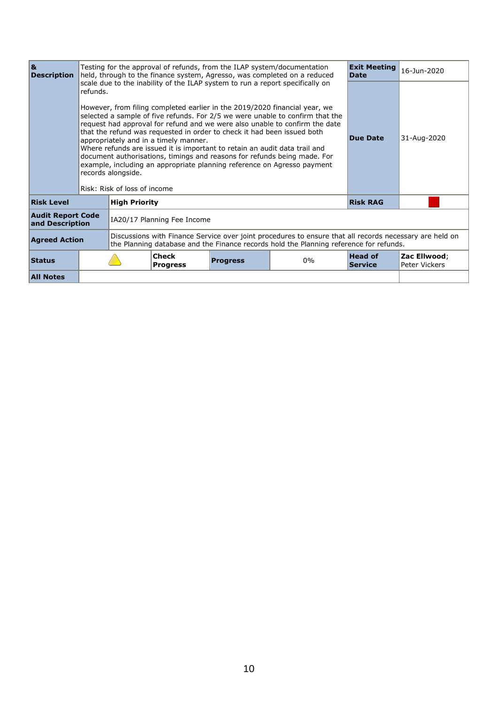| 8k<br><b>Description</b>                    |          |                                                                                                                                                                                                   |                                                                                                                                                                                                                                                                                                                                                                                                                                                                                                                                                                                                                                                                                      | Testing for the approval of refunds, from the ILAP system/documentation<br>held, through to the finance system, Agresso, was completed on a reduced | <b>Exit Meeting</b><br><b>Date</b> | 16-Jun-2020                      |                               |
|---------------------------------------------|----------|---------------------------------------------------------------------------------------------------------------------------------------------------------------------------------------------------|--------------------------------------------------------------------------------------------------------------------------------------------------------------------------------------------------------------------------------------------------------------------------------------------------------------------------------------------------------------------------------------------------------------------------------------------------------------------------------------------------------------------------------------------------------------------------------------------------------------------------------------------------------------------------------------|-----------------------------------------------------------------------------------------------------------------------------------------------------|------------------------------------|----------------------------------|-------------------------------|
|                                             | refunds. | records alongside.<br>Risk: Risk of loss of income                                                                                                                                                | scale due to the inability of the ILAP system to run a report specifically on<br>However, from filing completed earlier in the 2019/2020 financial year, we<br>selected a sample of five refunds. For 2/5 we were unable to confirm that the<br>request had approval for refund and we were also unable to confirm the date<br>that the refund was requested in order to check it had been issued both<br>appropriately and in a timely manner.<br>Where refunds are issued it is important to retain an audit data trail and<br>document authorisations, timings and reasons for refunds being made. For<br>example, including an appropriate planning reference on Agresso payment | <b>Due Date</b>                                                                                                                                     | 31-Aug-2020                        |                                  |                               |
| <b>Risk Level</b>                           |          | <b>High Priority</b>                                                                                                                                                                              |                                                                                                                                                                                                                                                                                                                                                                                                                                                                                                                                                                                                                                                                                      |                                                                                                                                                     |                                    | <b>Risk RAG</b>                  |                               |
| <b>Audit Report Code</b><br>and Description |          | IA20/17 Planning Fee Income                                                                                                                                                                       |                                                                                                                                                                                                                                                                                                                                                                                                                                                                                                                                                                                                                                                                                      |                                                                                                                                                     |                                    |                                  |                               |
| <b>Agreed Action</b>                        |          | Discussions with Finance Service over joint procedures to ensure that all records necessary are held on<br>the Planning database and the Finance records hold the Planning reference for refunds. |                                                                                                                                                                                                                                                                                                                                                                                                                                                                                                                                                                                                                                                                                      |                                                                                                                                                     |                                    |                                  |                               |
| <b>Status</b>                               |          |                                                                                                                                                                                                   | <b>Check</b><br><b>Progress</b>                                                                                                                                                                                                                                                                                                                                                                                                                                                                                                                                                                                                                                                      | <b>Progress</b>                                                                                                                                     | $0\%$                              | <b>Head of</b><br><b>Service</b> | Zac Ellwood;<br>Peter Vickers |
| <b>All Notes</b>                            |          |                                                                                                                                                                                                   |                                                                                                                                                                                                                                                                                                                                                                                                                                                                                                                                                                                                                                                                                      |                                                                                                                                                     |                                    |                                  |                               |